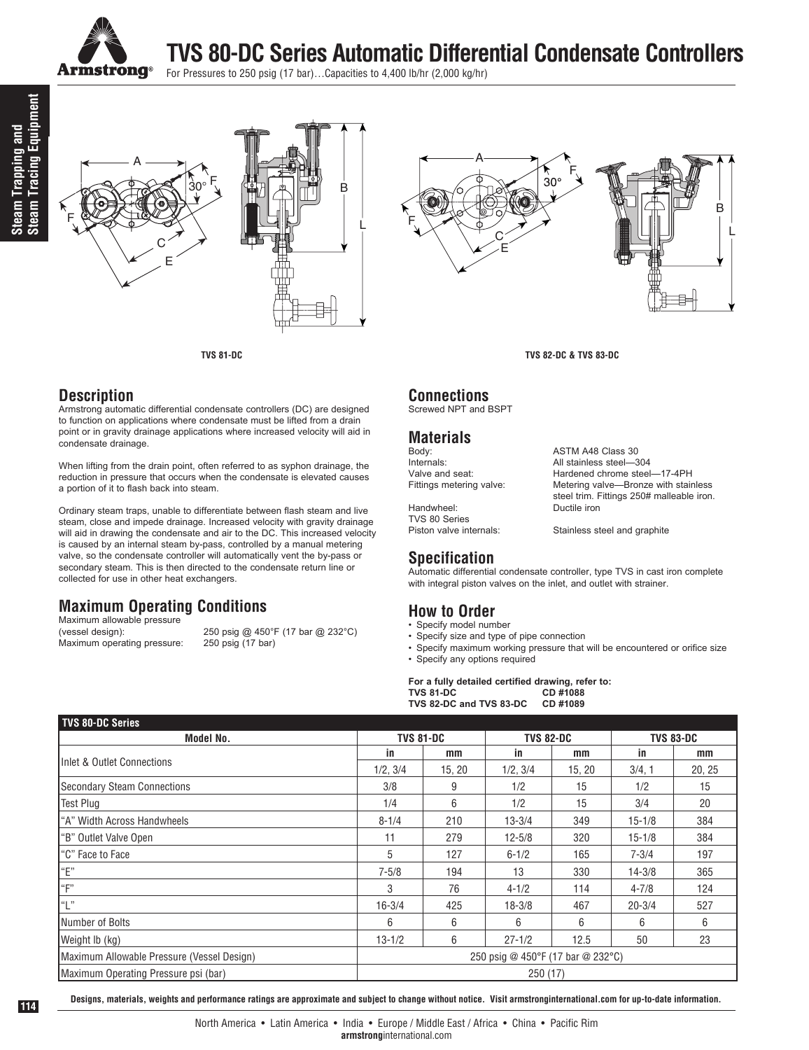

**TVS 80-DC Series Automatic Differential Condensate Controllers**

For Pressures to 250 psig (17 bar)…Capacities to 4,400 lb/hr (2,000 kg/hr)





#### **Description**

Armstrong automatic differential condensate controllers (DC) are designed to function on applications where condensate must be lifted from a drain point or in gravity drainage applications where increased velocity will aid in condensate drainage.

When lifting from the drain point, often referred to as syphon drainage, the reduction in pressure that occurs when the condensate is elevated causes a portion of it to flash back into steam.

Ordinary steam traps, unable to differentiate between flash steam and live steam, close and impede drainage. Increased velocity with gravity drainage will aid in drawing the condensate and air to the DC. This increased velocity is caused by an internal steam by-pass, controlled by a manual metering valve, so the condensate controller will automatically vent the by-pass or secondary steam. This is then directed to the condensate return line or collected for use in other heat exchangers.

### **Maximum Operating Conditions**

Maximum allowable pressure<br>(vessel design): Maximum operating pressure:

250 psig @ 450°F (17 bar @ 232°C)<br>250 psig (17 bar)

## A F  $30^{\circ}$ F C E



**TVS 81-DC TVS 82-DC & TVS 83-DC**

### **Connections**

Screwed NPT and BSPT

## **Materials**

Body: <br>
Body: ASTM A48 Class 30<br>
All stainless steel—3

Handwheel: TVS 80 Series<br>Piston valve internals:

Internals: All stainless steel—304 Hardened chrome steel-17-4PH Fittings metering valve: Metering valve—Bronze with stainless steel trim. Fittings 250# malleable iron.<br>Ductile iron

Stainless steel and graphite

### **Specification**

Automatic differential condensate controller, type TVS in cast iron complete with integral piston valves on the inlet, and outlet with strainer.

#### **How to Order**

- Specify model number
- Specify size and type of pipe connection
- Specify maximum working pressure that will be encountered or orifice size
- Specify any options required

**For a fully detailed certified drawing, refer to: TVS** 81-DC<br> **TVS** 82-DC and TVS 83-DC CD #1089  $TVS$  82-DC and  $TVS$  83-DC

| <b>TVS 80-DC Series</b>                    |            |                                   |            |                  |            |                  |  |
|--------------------------------------------|------------|-----------------------------------|------------|------------------|------------|------------------|--|
| Model No.                                  |            | <b>TVS 81-DC</b>                  |            | <b>TVS 82-DC</b> |            | <b>TVS 83-DC</b> |  |
| Inlet & Outlet Connections                 | in         | mm                                | in         | mm               | in         | mm               |  |
|                                            | 1/2, 3/4   | 15, 20                            | 1/2, 3/4   | 15, 20           | 3/4.1      | 20, 25           |  |
| <b>Secondary Steam Connections</b>         | 3/8        | 9                                 | 1/2        | 15               | 1/2        | 15               |  |
| <b>Test Plug</b>                           | 1/4        | 6                                 | 1/2        | 15               | 3/4        | 20               |  |
| "A" Width Across Handwheels                | $8 - 1/4$  | 210                               | $13 - 3/4$ | 349              | $15 - 1/8$ | 384              |  |
| "B" Outlet Valve Open                      | 11         | 279                               | $12 - 5/8$ | 320              | $15 - 1/8$ | 384              |  |
| I"C" Face to Face                          | 5          | 127                               | $6 - 1/2$  | 165              | $7 - 3/4$  | 197              |  |
| "E"                                        | $7 - 5/8$  | 194                               | 13         | 330              | $14 - 3/8$ | 365              |  |
| "F"                                        | 3          | 76                                | $4 - 1/2$  | 114              | $4 - 7/8$  | 124              |  |
| "L"                                        | $16 - 3/4$ | 425                               | $18 - 3/8$ | 467              | $20 - 3/4$ | 527              |  |
| Number of Bolts                            | 6          | 6                                 | 6          | 6                | 6          | 6                |  |
| Weight Ib (kg)                             | $13 - 1/2$ | 6                                 | $27 - 1/2$ | 12.5             | 50         | 23               |  |
| Maximum Allowable Pressure (Vessel Design) |            | 250 psig @ 450°F (17 bar @ 232°C) |            |                  |            |                  |  |
| Maximum Operating Pressure psi (bar)       |            | 250(17)                           |            |                  |            |                  |  |

**Designs, materials, weights and performance ratings are approximate and subject to change without notice. Visit armstronginternational.com for up-to-date information.**